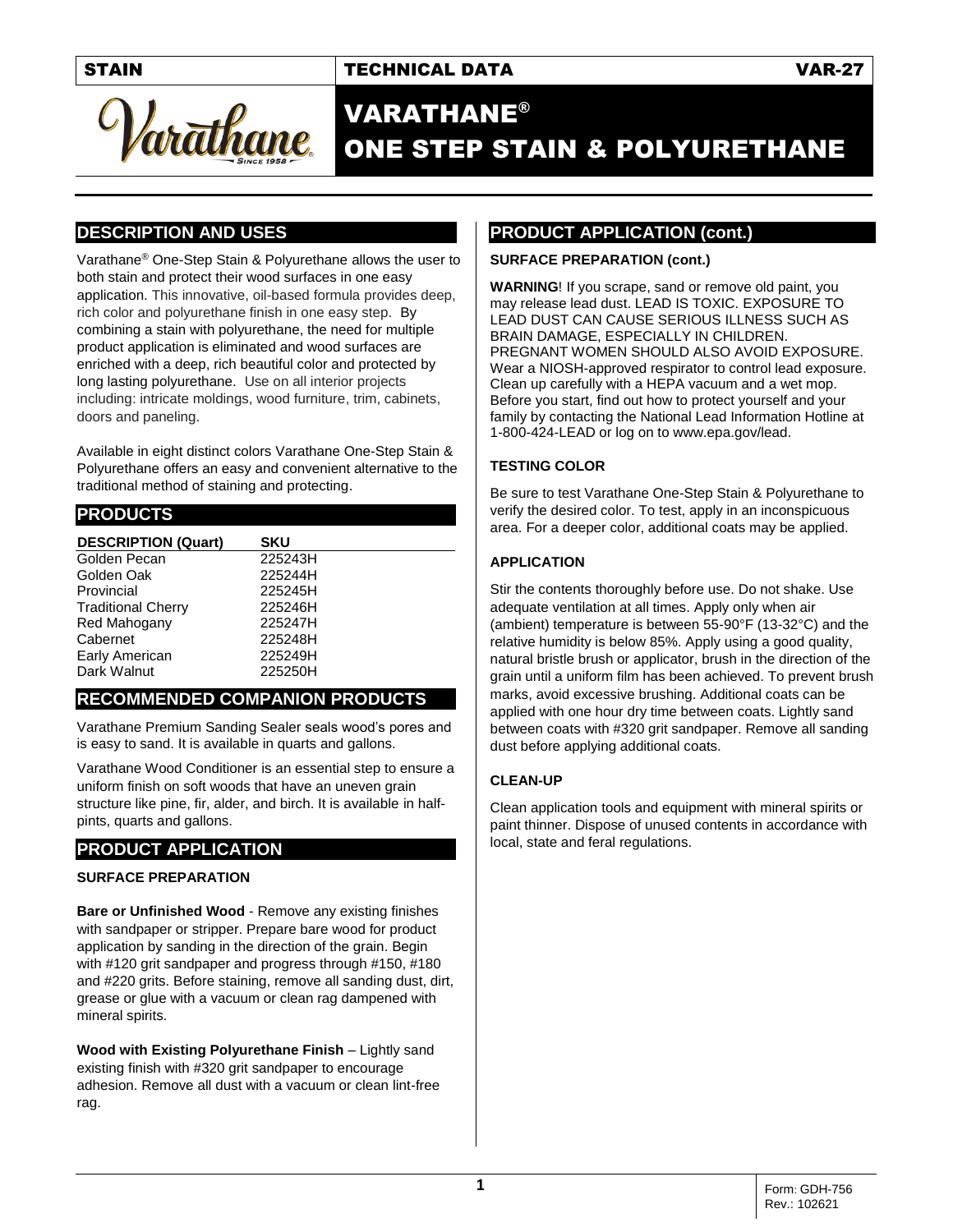## STAIN TECHNICAL DATA VAR-27



# VARATHANE® ONE STEP STAIN & POLYURETHANE

## **DESCRIPTION AND USES**

Varathane® One-Step Stain & Polyurethane allows the user to both stain and protect their wood surfaces in one easy application. This innovative, oil-based formula provides deep, rich color and polyurethane finish in one easy step. By combining a stain with polyurethane, the need for multiple product application is eliminated and wood surfaces are enriched with a deep, rich beautiful color and protected by long lasting polyurethane. Use on all interior projects including: intricate moldings, wood furniture, trim, cabinets, doors and paneling.

Available in eight distinct colors Varathane One-Step Stain & Polyurethane offers an easy and convenient alternative to the traditional method of staining and protecting.

### **PRODUCTS**

| <b>DESCRIPTION (Quart)</b> | <b>SKU</b> |
|----------------------------|------------|
| Golden Pecan               | 225243H    |
| Golden Oak                 | 225244H    |
| Provincial                 | 225245H    |
| <b>Traditional Cherry</b>  | 225246H    |
| Red Mahogany               | 225247H    |
| Cabernet                   | 225248H    |
| Early American             | 225249H    |
| Dark Walnut                | 225250H    |

## **RECOMMENDED COMPANION PRODUCTS**

Varathane Premium Sanding Sealer seals wood's pores and is easy to sand. It is available in quarts and gallons.

Varathane Wood Conditioner is an essential step to ensure a uniform finish on soft woods that have an uneven grain structure like pine, fir, alder, and birch. It is available in halfpints, quarts and gallons.

# **PRODUCT APPLICATION**

#### **SURFACE PREPARATION**

**Bare or Unfinished Wood** - Remove any existing finishes with sandpaper or stripper. Prepare bare wood for product application by sanding in the direction of the grain. Begin with #120 grit sandpaper and progress through #150, #180 and #220 grits. Before staining, remove all sanding dust, dirt, grease or glue with a vacuum or clean rag dampened with mineral spirits.

**Wood with Existing Polyurethane Finish** – Lightly sand existing finish with #320 grit sandpaper to encourage adhesion. Remove all dust with a vacuum or clean lint-free rag.

## **PRODUCT APPLICATION (cont.)**

#### **SURFACE PREPARATION (cont.)**

**WARNING**! If you scrape, sand or remove old paint, you may release lead dust. LEAD IS TOXIC. EXPOSURE TO LEAD DUST CAN CAUSE SERIOUS ILLNESS SUCH AS BRAIN DAMAGE, ESPECIALLY IN CHILDREN. PREGNANT WOMEN SHOULD ALSO AVOID EXPOSURE. Wear a NIOSH-approved respirator to control lead exposure. Clean up carefully with a HEPA vacuum and a wet mop. Before you start, find out how to protect yourself and your family by contacting the National Lead Information Hotline at 1-800-424-LEAD or log on to www.epa.gov/lead.

#### **TESTING COLOR**

Be sure to test Varathane One-Step Stain & Polyurethane to verify the desired color. To test, apply in an inconspicuous area. For a deeper color, additional coats may be applied.

#### **APPLICATION**

Stir the contents thoroughly before use. Do not shake. Use adequate ventilation at all times. Apply only when air (ambient) temperature is between 55-90°F (13-32°C) and the relative humidity is below 85%. Apply using a good quality, natural bristle brush or applicator, brush in the direction of the grain until a uniform film has been achieved. To prevent brush marks, avoid excessive brushing. Additional coats can be applied with one hour dry time between coats. Lightly sand between coats with #320 grit sandpaper. Remove all sanding dust before applying additional coats.

#### **CLEAN-UP**

Clean application tools and equipment with mineral spirits or paint thinner. Dispose of unused contents in accordance with local, state and feral regulations.